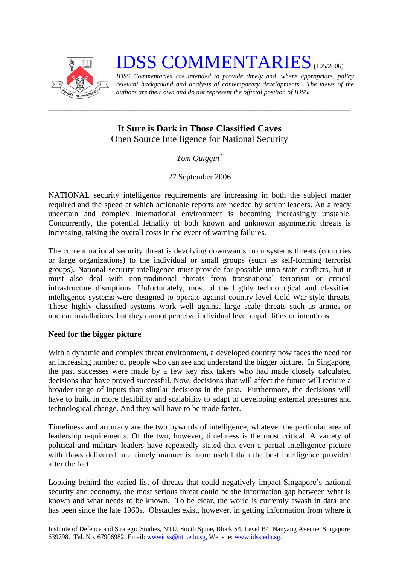

# **IDSS COMMENTARIES** (105/2006)

*IDSS Commentaries are intended to provide timely and, where appropriate, policy relevant background and analysis of contemporary developments. The views of the authors are their own and do not represent the official position of IDSS.* 

# **It Sure is Dark in Those Classified Caves**  Open Source Intelligence for National Security

*\_\_\_\_\_\_\_\_\_\_\_\_\_\_\_\_\_\_\_\_\_\_\_\_\_\_\_\_\_\_\_\_\_\_\_\_\_\_\_\_\_\_\_\_\_\_\_\_\_\_\_\_\_\_\_\_\_\_\_\_\_\_\_\_\_\_\_\_\_\_\_\_\_\_\_* 

*Tom Quiggin[\\*](#page-2-0)*

27 September 2006

NATIONAL security intelligence requirements are increasing in both the subject matter required and the speed at which actionable reports are needed by senior leaders. An already uncertain and complex international environment is becoming increasingly unstable. Concurrently, the potential lethality of both known and unknown asymmetric threats is increasing, raising the overall costs in the event of warning failures.

The current national security threat is devolving downwards from systems threats (countries or large organizations) to the individual or small groups (such as self-forming terrorist groups). National security intelligence must provide for possible intra-state conflicts, but it must also deal with non-traditional threats from transnational terrorism or critical infrastructure disruptions. Unfortunately, most of the highly technological and classified intelligence systems were designed to operate against country-level Cold War-style threats. These highly classified systems work well against large scale threats such as armies or nuclear installations, but they cannot perceive individual level capabilities or intentions.

# **Need for the bigger picture**

With a dynamic and complex threat environment, a developed country now faces the need for an increasing number of people who can see and understand the bigger picture. In Singapore, the past successes were made by a few key risk takers who had made closely calculated decisions that have proved successful. Now, decisions that will affect the future will require a broader range of inputs than similar decisions in the past. Furthermore, the decisions will have to build in more flexibility and scalability to adapt to developing external pressures and technological change. And they will have to be made faster.

Timeliness and accuracy are the two bywords of intelligence, whatever the particular area of leadership requirements. Of the two, however, timeliness is the most critical. A variety of political and military leaders have repeatedly stated that even a partial intelligence picture with flaws delivered in a timely manner is more useful than the best intelligence provided after the fact.

Looking behind the varied list of threats that could negatively impact Singapore's national security and economy, the most serious threat could be the information gap between what is known and what needs to be known. To be clear, the world is currently awash in data and has been since the late 1960s. Obstacles exist, however, in getting information from where it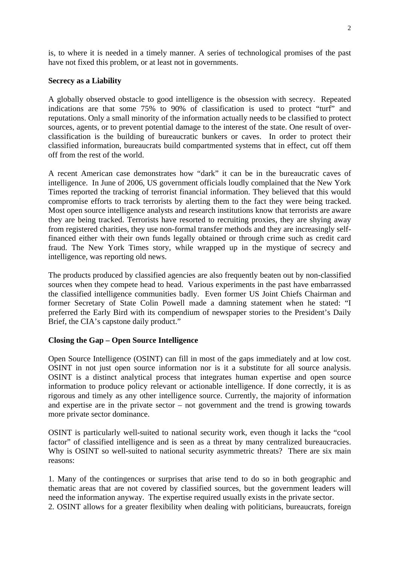is, to where it is needed in a timely manner. A series of technological promises of the past have not fixed this problem, or at least not in governments.

#### **Secrecy as a Liability**

A globally observed obstacle to good intelligence is the obsession with secrecy. Repeated indications are that some 75% to 90% of classification is used to protect "turf" and reputations. Only a small minority of the information actually needs to be classified to protect sources, agents, or to prevent potential damage to the interest of the state. One result of overclassification is the building of bureaucratic bunkers or caves. In order to protect their classified information, bureaucrats build compartmented systems that in effect, cut off them off from the rest of the world.

A recent American case demonstrates how "dark" it can be in the bureaucratic caves of intelligence. In June of 2006, US government officials loudly complained that the New York Times reported the tracking of terrorist financial information. They believed that this would compromise efforts to track terrorists by alerting them to the fact they were being tracked. Most open source intelligence analysts and research institutions know that terrorists are aware they are being tracked. Terrorists have resorted to recruiting proxies, they are shying away from registered charities, they use non-formal transfer methods and they are increasingly selffinanced either with their own funds legally obtained or through crime such as credit card fraud. The New York Times story, while wrapped up in the mystique of secrecy and intelligence, was reporting old news.

The products produced by classified agencies are also frequently beaten out by non-classified sources when they compete head to head. Various experiments in the past have embarrassed the classified intelligence communities badly. Even former US Joint Chiefs Chairman and former Secretary of State Colin Powell made a damning statement when he stated: "I preferred the Early Bird with its compendium of newspaper stories to the President's Daily Brief, the CIA's capstone daily product."

## **Closing the Gap – Open Source Intelligence**

Open Source Intelligence (OSINT) can fill in most of the gaps immediately and at low cost. OSINT in not just open source information nor is it a substitute for all source analysis. OSINT is a distinct analytical process that integrates human expertise and open source information to produce policy relevant or actionable intelligence. If done correctly, it is as rigorous and timely as any other intelligence source. Currently, the majority of information and expertise are in the private sector – not government and the trend is growing towards more private sector dominance.

OSINT is particularly well-suited to national security work, even though it lacks the "cool factor" of classified intelligence and is seen as a threat by many centralized bureaucracies. Why is OSINT so well-suited to national security asymmetric threats? There are six main reasons:

1. Many of the contingences or surprises that arise tend to do so in both geographic and thematic areas that are not covered by classified sources, but the government leaders will need the information anyway. The expertise required usually exists in the private sector.

2. OSINT allows for a greater flexibility when dealing with politicians, bureaucrats, foreign